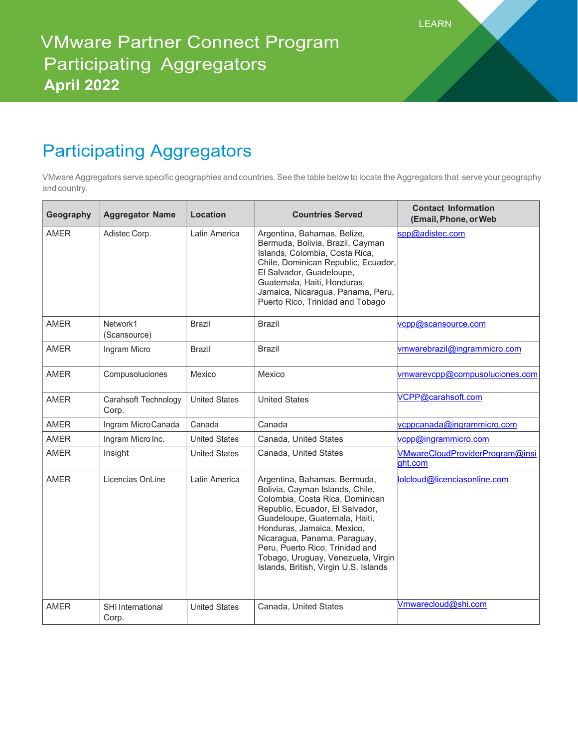## Participating Aggregators

VMware Aggregators serve specific geographies and countries. See the table below to locate the Aggregators that serve your geography and country.

| Geography   | <b>Aggregator Name</b>        | Location             | <b>Countries Served</b>                                                                                                                                                                                                                                                                                                                                | <b>Contact Information</b><br>(Email, Phone, or Web |
|-------------|-------------------------------|----------------------|--------------------------------------------------------------------------------------------------------------------------------------------------------------------------------------------------------------------------------------------------------------------------------------------------------------------------------------------------------|-----------------------------------------------------|
| <b>AMER</b> | Adistec Corp.                 | Latin America        | Argentina, Bahamas, Belize,<br>Bermuda, Bolivia, Brazil, Cayman<br>Islands, Colombia, Costa Rica,<br>Chile, Dominican Republic, Ecuador,<br>El Salvador, Guadeloupe,<br>Guatemala, Haiti, Honduras,<br>Jamaica, Nicaragua, Panama, Peru,<br>Puerto Rico, Trinidad and Tobago                                                                           | spp@adistec.com                                     |
| <b>AMER</b> | Network1<br>(Scansource)      | <b>Brazil</b>        | <b>Brazil</b>                                                                                                                                                                                                                                                                                                                                          | vcpp@scansource.com                                 |
| <b>AMER</b> | Ingram Micro                  | <b>Brazil</b>        | <b>Brazil</b>                                                                                                                                                                                                                                                                                                                                          | vmwarebrazil@ingrammicro.com                        |
| <b>AMER</b> | Compusoluciones               | Mexico               | Mexico                                                                                                                                                                                                                                                                                                                                                 | vmwarevcpp@compusoluciones.com                      |
| <b>AMER</b> | Carahsoft Technology<br>Corp. | <b>United States</b> | <b>United States</b>                                                                                                                                                                                                                                                                                                                                   | VCPP@carahsoft.com                                  |
| <b>AMER</b> | Ingram MicroCanada            | Canada               | Canada                                                                                                                                                                                                                                                                                                                                                 | vcppcanada@ingrammicro.com                          |
| <b>AMER</b> | Ingram Micro Inc.             | <b>United States</b> | Canada, United States                                                                                                                                                                                                                                                                                                                                  | vcpp@ingrammicro.com                                |
| <b>AMER</b> | Insight                       | <b>United States</b> | Canada, United States                                                                                                                                                                                                                                                                                                                                  | VMwareCloudProviderProgram@insi<br>ght.com          |
| <b>AMER</b> | Licencias OnLine              | Latin America        | Argentina, Bahamas, Bermuda,<br>Bolivia, Cayman Islands, Chile,<br>Colombia, Costa Rica, Dominican<br>Republic, Ecuador, El Salvador,<br>Guadeloupe, Guatemala, Haiti,<br>Honduras, Jamaica, Mexico,<br>Nicaragua, Panama, Paraguay,<br>Peru, Puerto Rico, Trinidad and<br>Tobago, Uruguay, Venezuela, Virgin<br>Islands, British, Virgin U.S. Islands | lolcloud@licenciasonline.com                        |
| <b>AMER</b> | SHI International<br>Corp.    | <b>United States</b> | Canada, United States                                                                                                                                                                                                                                                                                                                                  | Vmwarecloud@shi.com                                 |

LEARN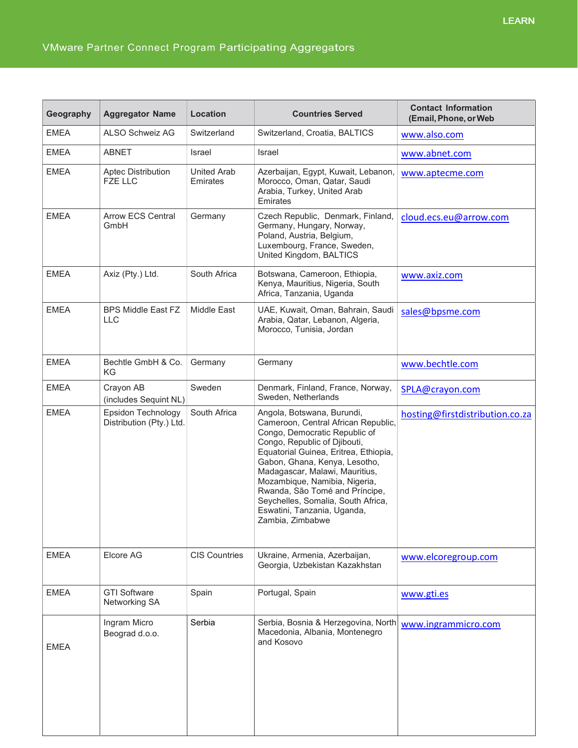## VMware Partner Connect Program Participating Aggregators

| Geography   | <b>Aggregator Name</b>                         | Location                       | <b>Countries Served</b>                                                                                                                                                                                                                                                                                                                                                                                    | <b>Contact Information</b><br>(Email, Phone, or Web |
|-------------|------------------------------------------------|--------------------------------|------------------------------------------------------------------------------------------------------------------------------------------------------------------------------------------------------------------------------------------------------------------------------------------------------------------------------------------------------------------------------------------------------------|-----------------------------------------------------|
| <b>EMEA</b> | ALSO Schweiz AG                                | Switzerland                    | Switzerland, Croatia, BALTICS                                                                                                                                                                                                                                                                                                                                                                              | www.also.com                                        |
| <b>EMEA</b> | <b>ABNET</b>                                   | Israel                         | Israel                                                                                                                                                                                                                                                                                                                                                                                                     | www.abnet.com                                       |
| <b>EMEA</b> | Aptec Distribution<br><b>FZE LLC</b>           | <b>United Arab</b><br>Emirates | Azerbaijan, Egypt, Kuwait, Lebanon,<br>Morocco, Oman, Qatar, Saudi<br>Arabia, Turkey, United Arab<br>Emirates                                                                                                                                                                                                                                                                                              | www.aptecme.com                                     |
| <b>EMEA</b> | <b>Arrow ECS Central</b><br>GmbH               | Germany                        | Czech Republic, Denmark, Finland,<br>Germany, Hungary, Norway,<br>Poland, Austria, Belgium,<br>Luxembourg, France, Sweden,<br>United Kingdom, BALTICS                                                                                                                                                                                                                                                      | cloud.ecs.eu@arrow.com                              |
| <b>EMEA</b> | Axiz (Pty.) Ltd.                               | South Africa                   | Botswana, Cameroon, Ethiopia,<br>Kenya, Mauritius, Nigeria, South<br>Africa, Tanzania, Uganda                                                                                                                                                                                                                                                                                                              | www.axiz.com                                        |
| <b>EMEA</b> | <b>BPS Middle East FZ</b><br><b>LLC</b>        | Middle East                    | UAE, Kuwait, Oman, Bahrain, Saudi<br>Arabia, Qatar, Lebanon, Algeria,<br>Morocco, Tunisia, Jordan                                                                                                                                                                                                                                                                                                          | sales@bpsme.com                                     |
| <b>EMEA</b> | Bechtle GmbH & Co.<br>KG                       | Germany                        | Germany                                                                                                                                                                                                                                                                                                                                                                                                    | www.bechtle.com                                     |
| <b>EMEA</b> | Crayon AB<br>(includes Sequint NL)             | Sweden                         | Denmark, Finland, France, Norway,<br>Sweden, Netherlands                                                                                                                                                                                                                                                                                                                                                   | SPLA@crayon.com                                     |
| <b>EMEA</b> | Epsidon Technology<br>Distribution (Pty.) Ltd. | South Africa                   | Angola, Botswana, Burundi,<br>Cameroon, Central African Republic,<br>Congo, Democratic Republic of<br>Congo, Republic of Djibouti,<br>Equatorial Guinea, Eritrea, Ethiopia,<br>Gabon, Ghana, Kenya, Lesotho,<br>Madagascar, Malawi, Mauritius,<br>Mozambique, Namibia, Nigeria,<br>Rwanda, São Tomé and Príncipe,<br>Seychelles, Somalia, South Africa,<br>Eswatini, Tanzania, Uganda,<br>Zambia, Zimbabwe | hosting@firstdistribution.co.za                     |
| <b>EMEA</b> | Elcore AG                                      | <b>CIS Countries</b>           | Ukraine, Armenia, Azerbaijan,<br>Georgia, Uzbekistan Kazakhstan                                                                                                                                                                                                                                                                                                                                            | www.elcoregroup.com                                 |
| <b>EMEA</b> | <b>GTI Software</b><br>Networking SA           | Spain                          | Portugal, Spain                                                                                                                                                                                                                                                                                                                                                                                            | www.gti.es                                          |
| <b>EMEA</b> | Ingram Micro<br>Beograd d.o.o.                 | Serbia                         | Serbia, Bosnia & Herzegovina, North<br>Macedonia, Albania, Montenegro<br>and Kosovo                                                                                                                                                                                                                                                                                                                        | www.ingrammicro.com                                 |
|             |                                                |                                |                                                                                                                                                                                                                                                                                                                                                                                                            |                                                     |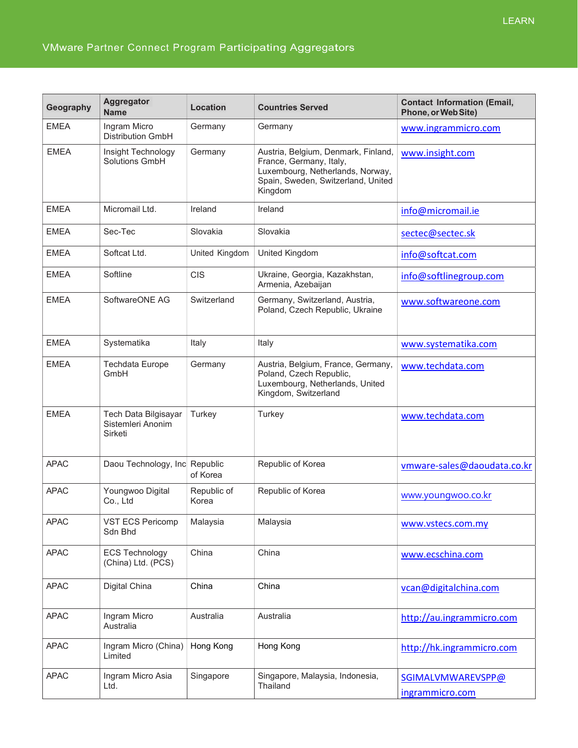| Geography   | Aggregator<br><b>Name</b>                            | <b>Location</b>      | <b>Countries Served</b>                                                                                                                             | <b>Contact Information (Email,</b><br>Phone, or Web Site) |
|-------------|------------------------------------------------------|----------------------|-----------------------------------------------------------------------------------------------------------------------------------------------------|-----------------------------------------------------------|
| <b>EMEA</b> | Ingram Micro<br><b>Distribution GmbH</b>             | Germany              | Germany                                                                                                                                             | www.ingrammicro.com                                       |
| <b>EMEA</b> | Insight Technology<br>Solutions GmbH                 | Germany              | Austria, Belgium, Denmark, Finland,<br>France, Germany, Italy,<br>Luxembourg, Netherlands, Norway,<br>Spain, Sweden, Switzerland, United<br>Kingdom | www.insight.com                                           |
| <b>EMEA</b> | Micromail Ltd.                                       | Ireland              | Ireland                                                                                                                                             | info@micromail.ie                                         |
| <b>EMEA</b> | Sec-Tec                                              | Slovakia             | Slovakia                                                                                                                                            | sectec@sectec.sk                                          |
| <b>EMEA</b> | Softcat Ltd.                                         | United Kingdom       | United Kingdom                                                                                                                                      | info@softcat.com                                          |
| <b>EMEA</b> | Softline                                             | <b>CIS</b>           | Ukraine, Georgia, Kazakhstan,<br>Armenia, Azebaijan                                                                                                 | info@softlinegroup.com                                    |
| <b>EMEA</b> | SoftwareONE AG                                       | Switzerland          | Germany, Switzerland, Austria,<br>Poland, Czech Republic, Ukraine                                                                                   | www.softwareone.com                                       |
| <b>EMEA</b> | Systematika                                          | Italy                | Italy                                                                                                                                               | www.systematika.com                                       |
| <b>EMEA</b> | <b>Techdata Europe</b><br>GmbH                       | Germany              | Austria, Belgium, France, Germany,<br>Poland, Czech Republic,<br>Luxembourg, Netherlands, United<br>Kingdom, Switzerland                            | www.techdata.com                                          |
| <b>EMEA</b> | Tech Data Bilgisayar<br>Sistemleri Anonim<br>Sirketi | Turkey               | Turkey                                                                                                                                              | www.techdata.com                                          |
| <b>APAC</b> | Daou Technology, Inc Republic                        | of Korea             | Republic of Korea                                                                                                                                   | vmware-sales@daoudata.co.kr                               |
| <b>APAC</b> | Youngwoo Digital<br>Co., Ltd                         | Republic of<br>Korea | Republic of Korea                                                                                                                                   | www.youngwoo.co.kr                                        |
| <b>APAC</b> | VST ECS Pericomp<br>Sdn Bhd                          | Malaysia             | Malaysia                                                                                                                                            | www.vstecs.com.my                                         |
| <b>APAC</b> | <b>ECS Technology</b><br>(China) Ltd. (PCS)          | China                | China                                                                                                                                               | www.ecschina.com                                          |
| <b>APAC</b> | Digital China                                        | China                | China                                                                                                                                               | vcan@digitalchina.com                                     |
| <b>APAC</b> | Ingram Micro<br>Australia                            | Australia            | Australia                                                                                                                                           | http://au.ingrammicro.com                                 |
| <b>APAC</b> | Ingram Micro (China)<br>Limited                      | Hong Kong            | Hong Kong                                                                                                                                           | http://hk.ingrammicro.com                                 |
| <b>APAC</b> | Ingram Micro Asia<br>Ltd.                            | Singapore            | Singapore, Malaysia, Indonesia,<br>Thailand                                                                                                         | SGIMALVMWAREVSPP@<br>ingrammicro.com                      |